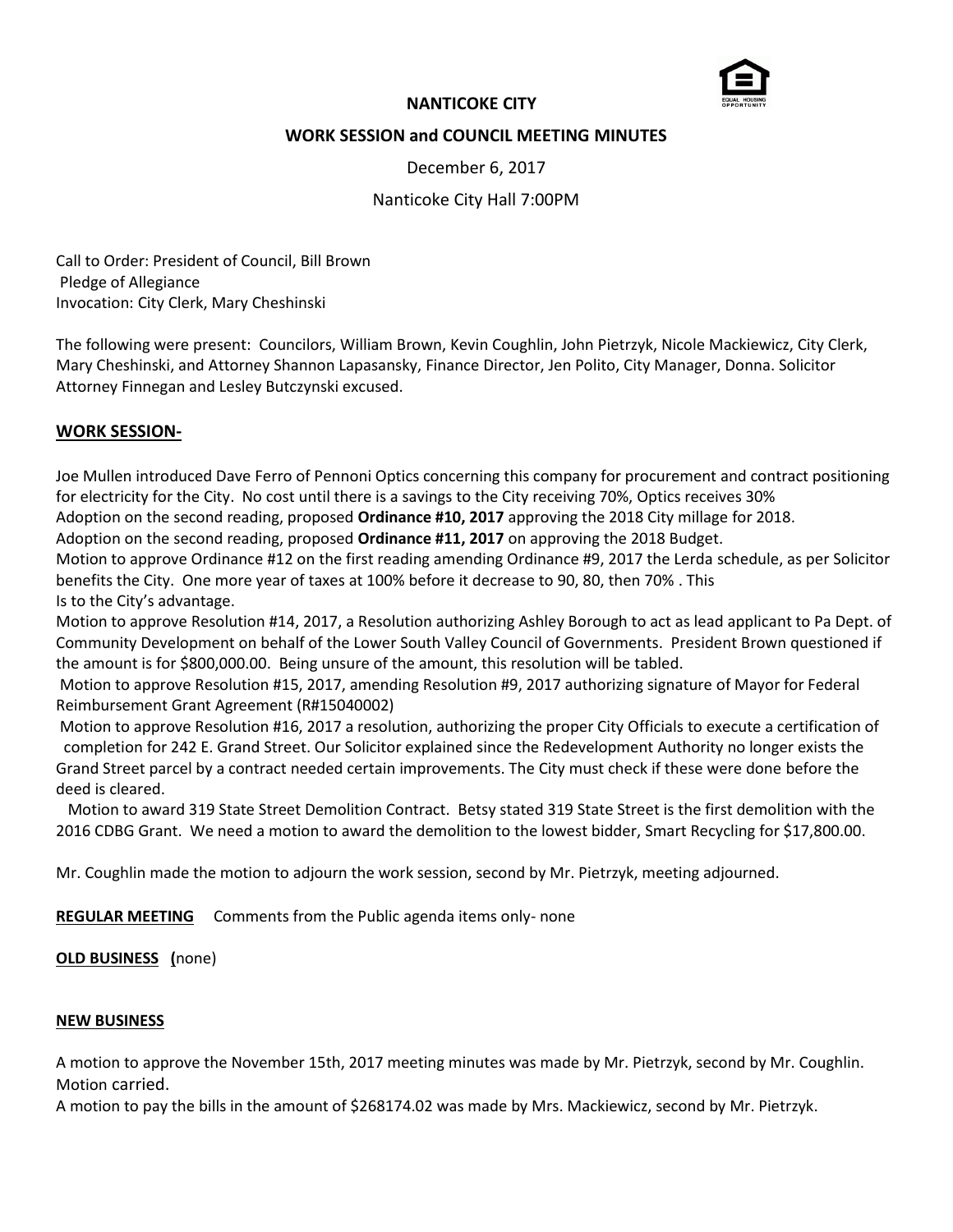

## **NANTICOKE CITY**

## **WORK SESSION and COUNCIL MEETING MINUTES**

December 6, 2017

Nanticoke City Hall 7:00PM

Call to Order: President of Council, Bill Brown Pledge of Allegiance Invocation: City Clerk, Mary Cheshinski

The following were present: Councilors, William Brown, Kevin Coughlin, John Pietrzyk, Nicole Mackiewicz, City Clerk, Mary Cheshinski, and Attorney Shannon Lapasansky, Finance Director, Jen Polito, City Manager, Donna. Solicitor Attorney Finnegan and Lesley Butczynski excused.

## **WORK SESSION-**

Joe Mullen introduced Dave Ferro of Pennoni Optics concerning this company for procurement and contract positioning for electricity for the City. No cost until there is a savings to the City receiving 70%, Optics receives 30%

Adoption on the second reading, proposed **Ordinance #10, 2017** approving the 2018 City millage for 2018.

Adoption on the second reading, proposed **Ordinance #11, 2017** on approving the 2018 Budget.

Motion to approve Ordinance #12 on the first reading amending Ordinance #9, 2017 the Lerda schedule, as per Solicitor benefits the City. One more year of taxes at 100% before it decrease to 90, 80, then 70% . This Is to the City's advantage.

Motion to approve Resolution #14, 2017, a Resolution authorizing Ashley Borough to act as lead applicant to Pa Dept. of Community Development on behalf of the Lower South Valley Council of Governments. President Brown questioned if the amount is for \$800,000.00. Being unsure of the amount, this resolution will be tabled.

Motion to approve Resolution #15, 2017, amending Resolution #9, 2017 authorizing signature of Mayor for Federal Reimbursement Grant Agreement (R#15040002)

Motion to approve Resolution #16, 2017 a resolution, authorizing the proper City Officials to execute a certification of completion for 242 E. Grand Street. Our Solicitor explained since the Redevelopment Authority no longer exists the Grand Street parcel by a contract needed certain improvements. The City must check if these were done before the deed is cleared.

 Motion to award 319 State Street Demolition Contract. Betsy stated 319 State Street is the first demolition with the 2016 CDBG Grant. We need a motion to award the demolition to the lowest bidder, Smart Recycling for \$17,800.00.

Mr. Coughlin made the motion to adjourn the work session, second by Mr. Pietrzyk, meeting adjourned.

**REGULAR MEETING** Comments from the Public agenda items only- none

# **OLD BUSINESS (**none)

#### **NEW BUSINESS**

A motion to approve the November 15th, 2017 meeting minutes was made by Mr. Pietrzyk, second by Mr. Coughlin. Motion carried.

A motion to pay the bills in the amount of \$268174.02 was made by Mrs. Mackiewicz, second by Mr. Pietrzyk.